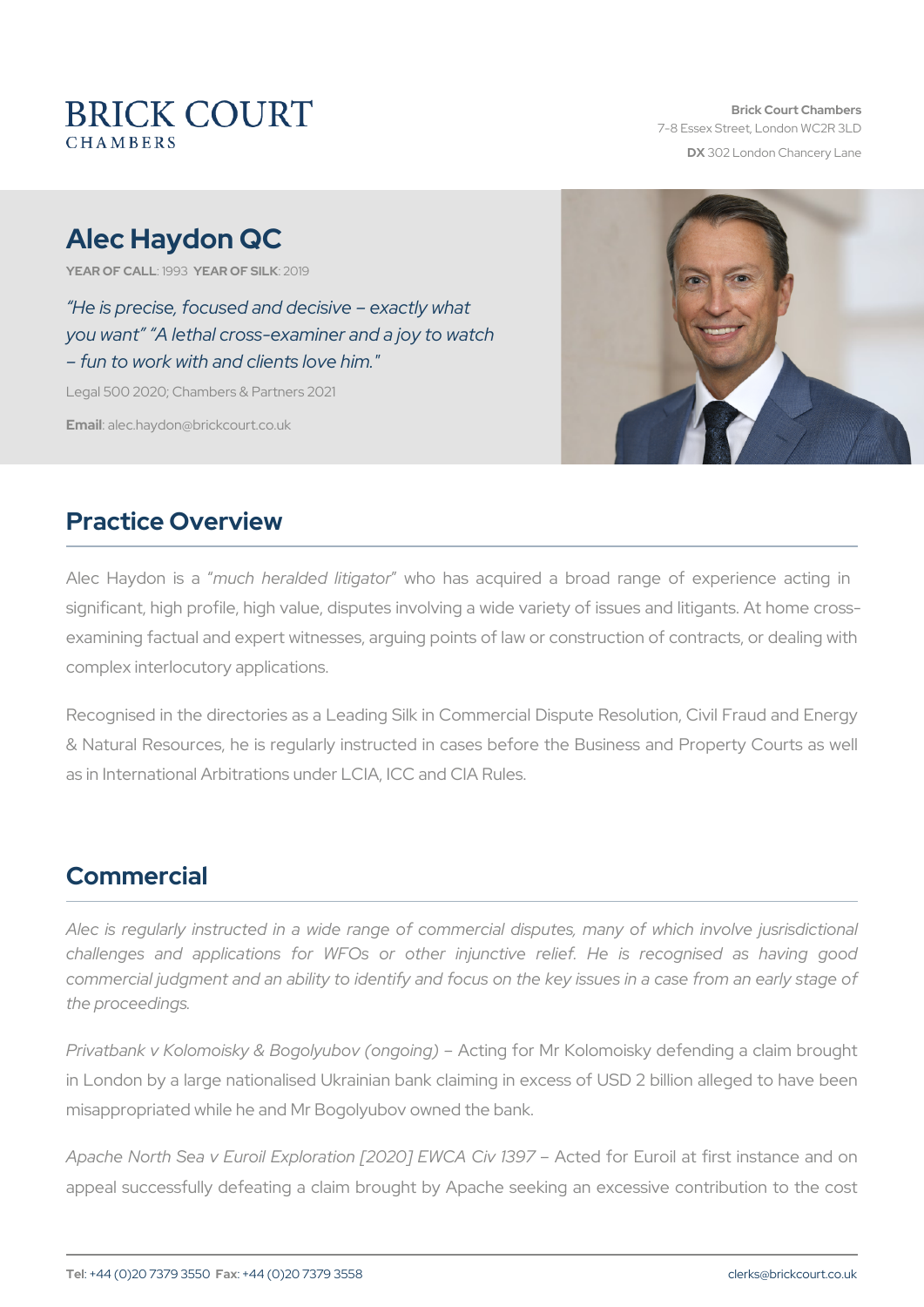# Alec Haydon QC

YEAR OF CALLEYSTAR OF SIZUK19

 He is precise, focused and decisive exactly what you want A lethal cross-examiner and a joy to watch fun to work with and clients love him."

Legal 500 2020; Chambers & Partners 2021

Emaidlec.haydon@brickcourt.co.uk

#### Practice Overview

Alec Haydom ush aheralded litingations acquired a broad range of experience acting in the same in the same and significant, high profile, high value, disputes involving a wide variety examining factual and expert witnesses, arguing points of law or cons complex interlocutory applications.

Recognised in the directories as a Leading Silk in Commercial Dispute Recognised in the directories as a Leading Silk in Commercial Disput & Natural Resources, he is regularly instructed in cases before the as in International Arbitrations under LCIA, ICC and CIA Rules.

### Commercial

Alec is regularly instructed in a wide range of commercial dispute challenges and applications for WFOs or other injunctive relie commercial judgment and an ability to identify and focus on the key the proceedings.

Privatbank v Kolomoisky & Bogo Alotimogy for Morin Kop) omoisky defending a in London by a large nationalised Ukrainian bank claiming in excess misappropriated while he and Mr Bogolyubov owned the bank.

Apache North Sea v Euroil Exploration [2020] EOW CEAur Coily a B 97 Trst ins appeal successfully defeating a claim brought by Apache seeking ar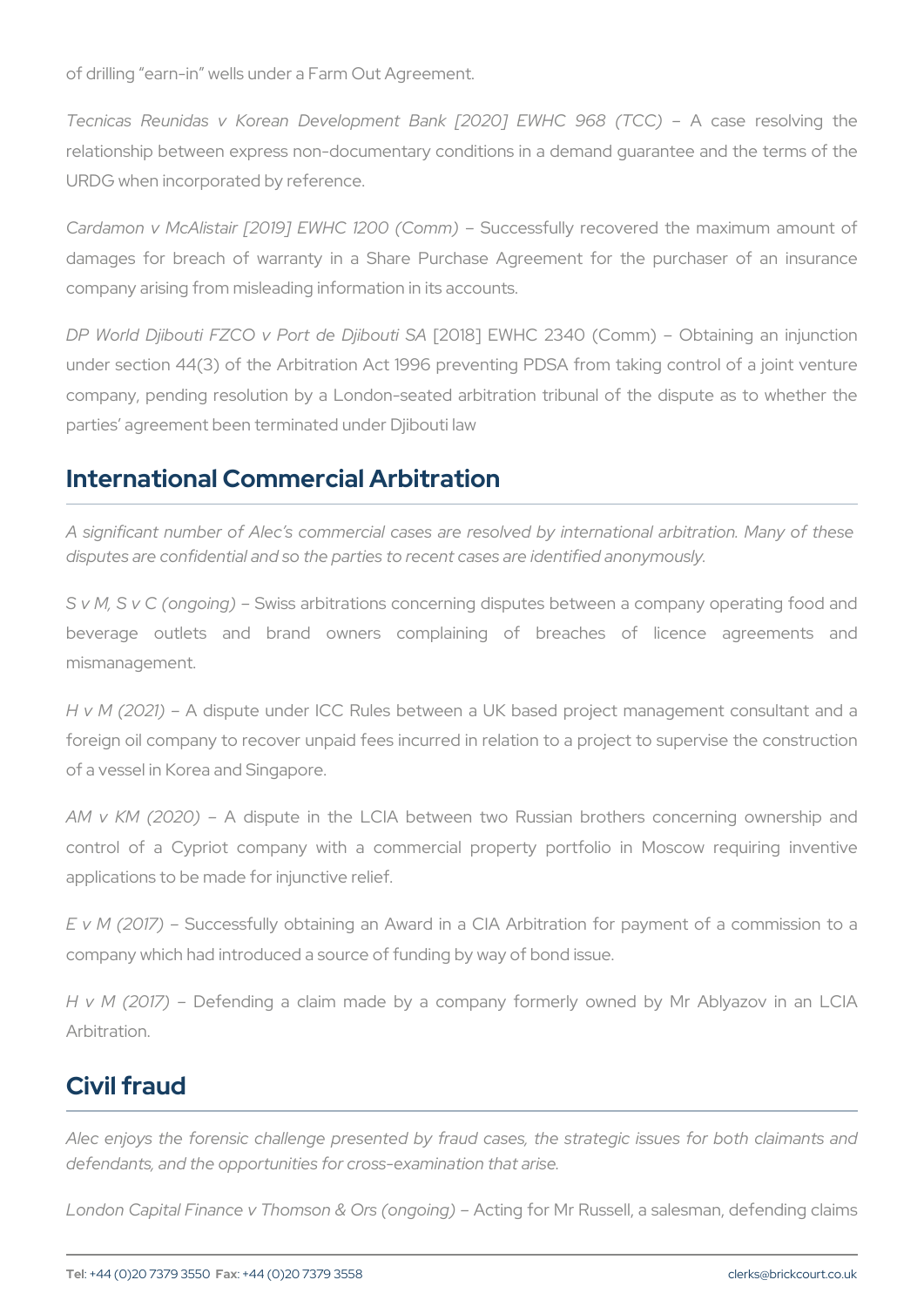of drilling earn-in wells under a Farm Out Agreement.

Tecnicas Reunidas v Korean Development BankA [2028 | rEWH Cing relationship between express non-documentary conditions in a deman URDG when incorporated by reference.

Cardamon v McAlistair  $[2019]$  EWB C cde2s0sofull Cyomenc) overed the maximum damages for breach of warranty in a Share Purchase Agreement company arising from misleading information in its accounts.

DP World Djibouti FZCO v Pb201&d DWHQut239A (Comm) Obtainin under section 44(3) of the Arbitration Act 1996 preventing PDSA from company, pending resolution by a London-seated arbitration tribuna parties agreement been terminated under Djibouti law

#### International Commercial Arbitration

A significant numbecom fm Alectial cases are resolved by international disputes are confidential and so the parties to recent cases are identi

S v M, S v C (oS wosing arbitrations concerning disputes between a company operations of beverage outlets and brand owners complaining of breac mismanagement.

H v M (2021) dispute under ICC Rules between a UK based project r foreign oil company to recover unpaid fees incurred in relation to a of a vessel in Korea and Singapore.

AM v KM (20 $\mathcal{P}$ Odispute in the LCIA between two Russian brothers control of a Cypriot company with a commercial property portfo applications to be made for injunctive relief.

E v M (20Stocessfully obtaining an Award in a CIA Arbitration for company which had introduced a source of funding by way of bond issue.

H v M (20D efending a claim made by a company formerly owned Arbitration.

### Civil fraud

Alec enjoys the forensic challenge presented by fraud cases, the s defendants, and the opportunities for cross-examination that arise.

London Capital Finance v Thomso Anc & in @ursfor Mgo Rhugs sell, a salesman, d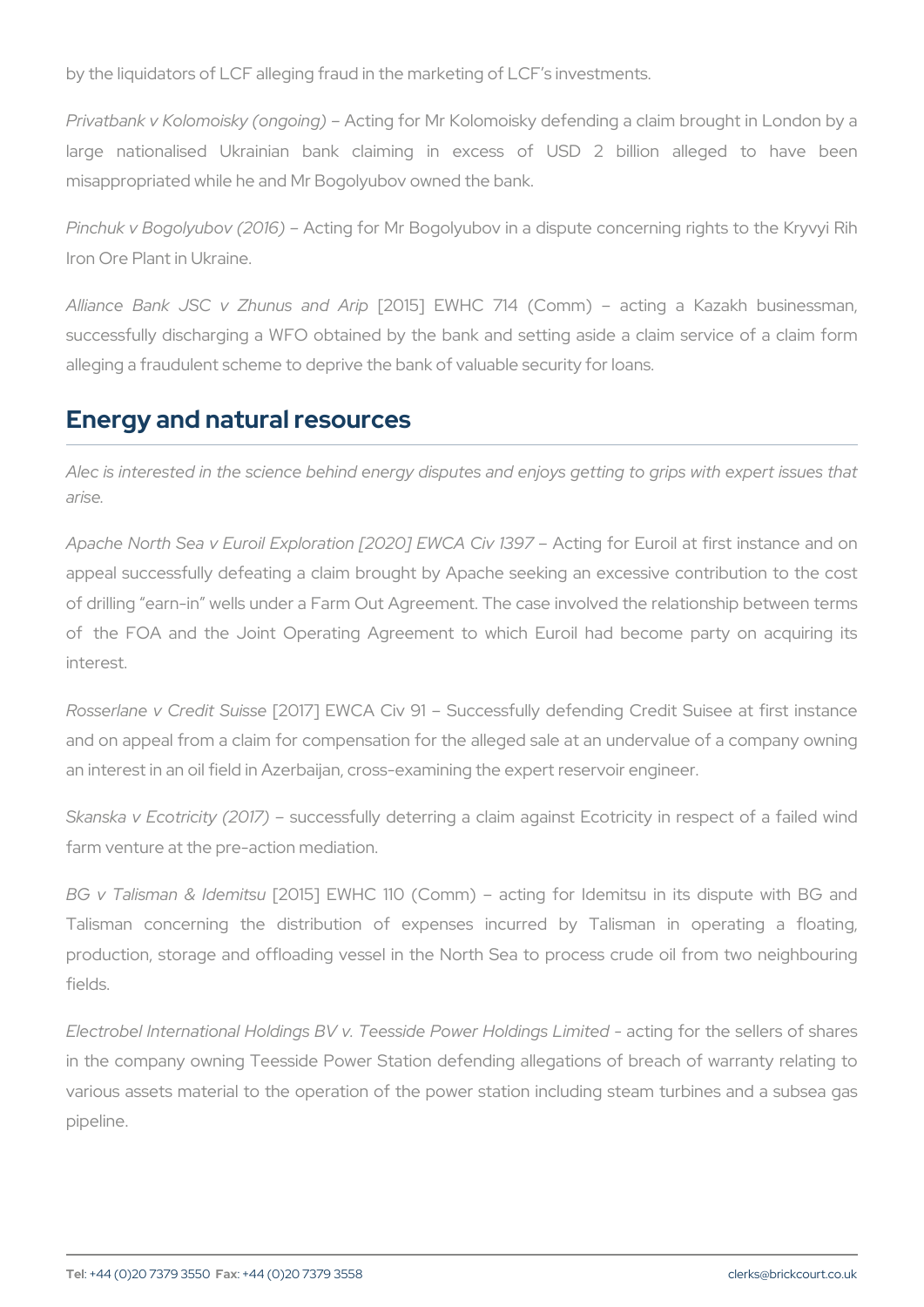by the liquidators of LCF alleging fraud in the marketing of LCF s inve

Privatbank v Kolomoisk $A$ ctionog ofor g $M$ r Kolomoisky defending a claim bro large nationalised Ukrainian bank claiming in excess of U misappropriated while he and Mr Bogolyubov owned the bank.

Pinchuk v Bogolyub Actin 2016) Mr Bogolyubov in a dispute concerning Iron Ore Plant in Ukraine.

Alliance Bank JSC v Zh2u0n1u5s] EnMolH @ rip 14 (Comm) acting a K successfully discharging a WFO obtained by the bank and setting a alleging a fraudulent scheme to deprive the bank of valuable security

#### Energy and natural resources

Alec is interested in the science behind energy disputes and enjoys arise.

Apache North Sea v Euroil Exploration [200200] Efo C EuCovil 1a3t 9 First instance appeal successfully defeating a claim brought by Apache seeking ar of drilling earn-in wells under a Farm Out Agreement. The case invo of the FOA and the Joint Operating Agreement to which Euroil I interest.

Rosserlane v Cred 0t1 Bluis WeCA Civ 91 Successfully defending Cred and on appeal from a claim for compensation for the alleged sale at an interest in an oil field in Azerbaijan, cross-examining the expert re

Skanska v Ecotricit w (2057) ully deterring a claim against Ecotricity farm venture at the pre-action mediation.

BG v Talisman & 20d 6 mi Es MHC 110 (Comm) acting for Idemitsu in Talisman concerning the distribution of expenses incurred by production, storage and offloading vessel in the North Sea to proce fields.

Electrobel International Holdings BV v. Teessaidtein Power the Identicars Lion in the company owning Teesside Power Station defending allegation various assets material to the operation of the power station includ pipeline.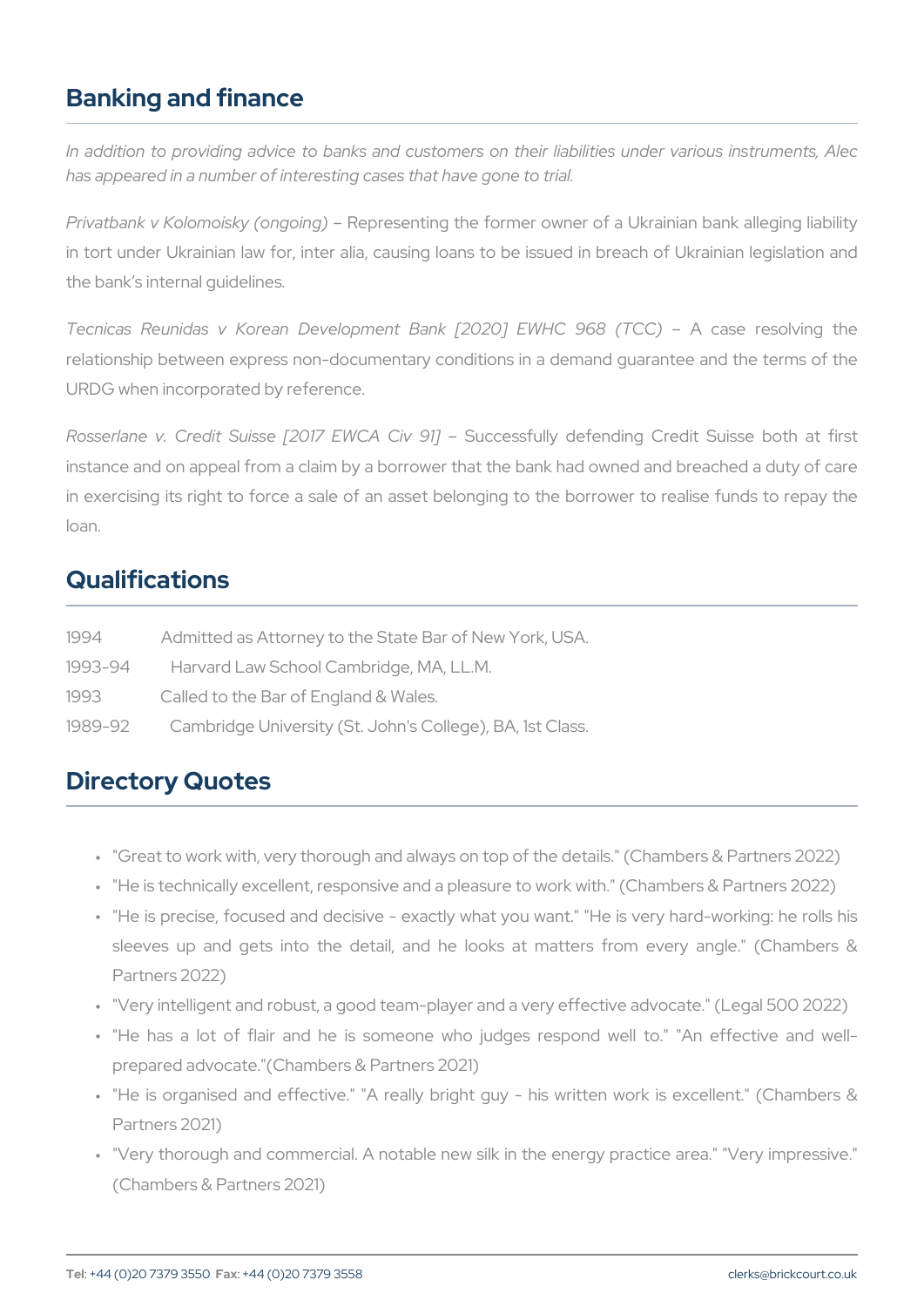## Banking and finance

In addition to providing advice to banks and customers on their lia has appeared in a number of interesting cases that have gone to trial.

Privatbank v Kolomoisk $R$ e(ponegsceintging the former owner of a Ukrainian in tort under Ukrainian law for, inter alia, causing loans to be issue the bank s internal guidelines.

Tecnicas Reunidas v Korean Development BankA [20a20e] resolucing relationship between express non-documentary conditions in a deman URDG when incorporated by reference.

Rosserlane v. Credit Suisse [209 Jcc EWS All Civde 94 holing Credit Suis instance and on appeal from a claim by a borrower that the bank had in exercising its right to force a sale of an asset belonging to the loan.

#### Qualifications

| 1994        | Admitted as Attorney to the State Bar of New York, U  |
|-------------|-------------------------------------------------------|
| $1993 - 94$ | Harvard Law School Cambridge, MA, LL.M.               |
| 1993        | Called to the Bar of England & Wales.                 |
| $1989 - 92$ | Cambridge University (St. John's College), BA, 1st Cl |

### Directory Quotes

" "Great to work with, very thorough and always on top of the detail

- " "He is technically excellent, responsive and a pleasure to work wi
- " "He is precise, focused and decisive exactly what you want." "I sleeves up and gets into the detail, and he looks at matters Partners 2022)
- " "Very intelligent and robust, a good team-player and a very effect
- " "He has a lot of flair and he is someone who judges respon prepared advocate."(Chambers & Partners 2021)
- " "He is organised and effective." "A really bright guy his writ Partners 2021)
- " "Very thorough and commercial. A notable new silk in the energy (Chambers & Partners 2021)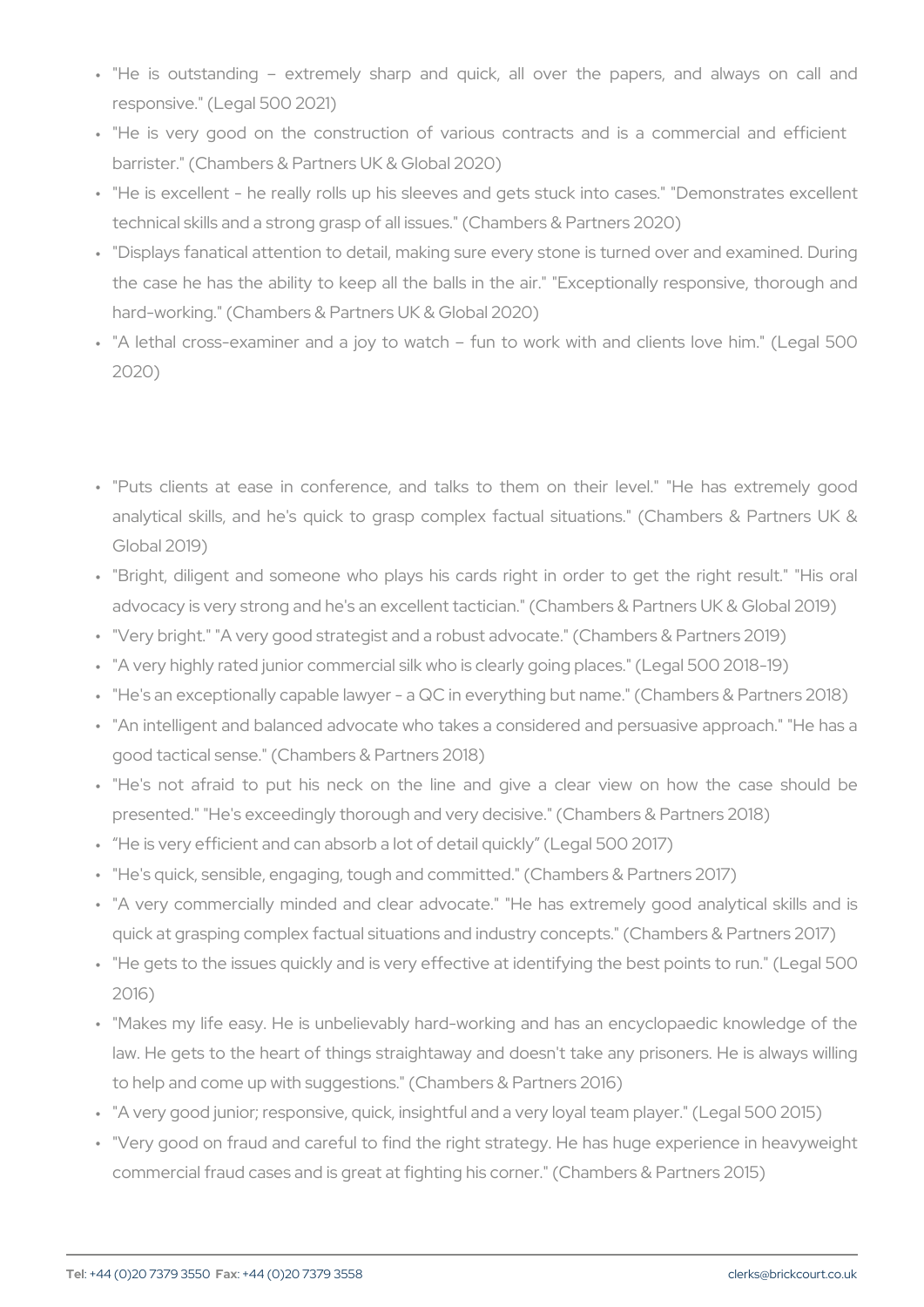- " "He is outstanding extremely sharp and quick, all over th responsive." (Legal 500 2021)
- " "He is very good on the construction of various contracts an barrister." (Chambers & Partners UK & Global 2020)
- " "He is excellent he really rolls up his sleeves and gets stuck technical skills and a strong grasp of all issues." (Chambers & Pa
- " "Displays fanatical attention to detail, making sure every stone is the case he has the ability to keep all the balls in the air." "Exhard-working." (Chambers & Partners UK & Global 2020)
- " "A lethal cross-examiner and a joy to watch fun to work with 2020)
- " "Puts clients at ease in conference, and talks to them on th analytical skills, and he's quick to grasp complex factual situations. Global 2019)
- " "Bright, diligent and someone who plays his cards right in orde advocacy is very strong and he's an excellent tactician." (Chambe " "Very bright." "A very good strategist and a robust advocate." (Ch " "A very highly rated junior commercial silk who is clearly going pl " "He's an exceptionally capable lawyer - a QC in everything but name." " "An intelligent and balanced advocate who takes a considered and good tactical sense." (Chambers & Partners 2018)
- " "He's not afraid to put his neck on the line and give a clea presented." "He's exceedingly thorough and very decisive." (Cham " He is very efficient and can absorb a lot of detail quickly (Legal " "He's quick, sensible, engaging, tough and committed." (Chambers " "A very commercially minded and clear advocate." "He has extre quick at grasping complex factual situations and industry concepts " "He gets to the issues quickly and is very effective at identifying 2016)
- " "Makes my life easy. He is unbelievably hard-working and has a law. He gets to the heart of things straightaway and doesn't take to help and come up with suggestions." (Chambers & Partners 2016) " "A very good junior; responsive, quick, insightful and a very loyal
- " "Very good on fraud and careful to find the right strategy. He ha commercial fraud cases and is great at fighting his corner." (Cham